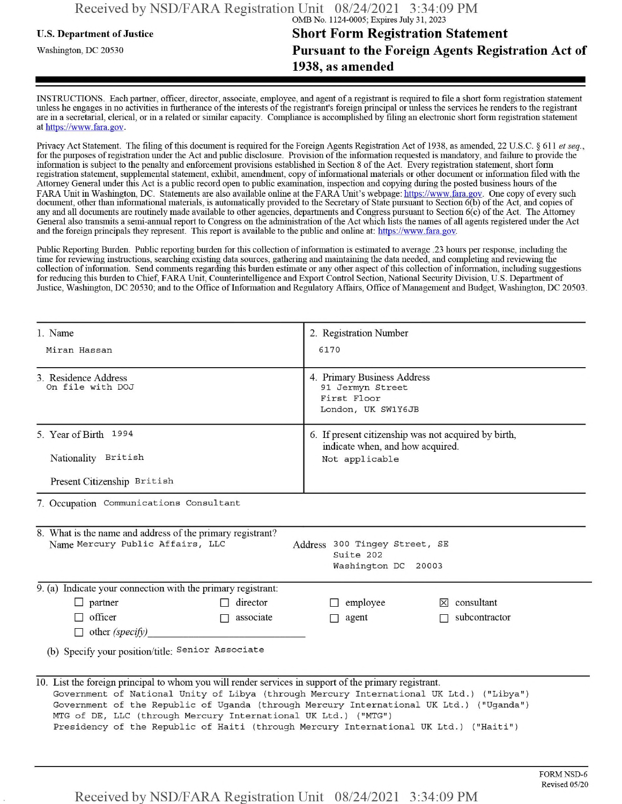## **u.s.** Department ofJustice **Short Form Registration Statement** Washington, dc <sup>20530</sup>**Pursuant to the Foreign Agents Registration Act of 1938, as amended**

INSTRUCTIONS. Each partner, officer, director, associate, employee, and agent of a registrant is required to file a short form registration statement unless he engages in no activities in furtherance ofthe interests ofthe registrant's foreign principal or unless the services he renders to the registrant are in a secretarial, clerical, or in a related or similar capacity. Compliance is accomplished by filing an electronic short form registration statement at https://www.fara.gov.

Privacy Act Statement. The filing of this document is required for the Foreign Agents Registration Act of 1938, as amended, 22 U.S.C. § 611 et seq., for the purposes ofregistration under the Act and public disclosure. Provision ofthe information requested is mandatory, and failure to provide the information is subject to the penalty and enforcement provisions established in Section 8 ofthe Act. Every registration statement, short form registration statement, supplemental statement, exhibit, amendment, copy ofinformational materials or other document or information filed with the Attorney General under this Act is a public record open to public examination, inspection and copying during the posted business hours ofthe FARA Unit in Washington, DC. Statements are also available online at the FARA Unit's webpage: https://www.fara.gov. One copy of every such document, other than informational materials, is automatically provided to the Secretary of State pursuant to Section 6(b) of the Act, and copies of any and all documents are routinely made available to other agencies, departments and Congress pursuant to Section 6(c) ofthe Act. The Attorney General also transmits a semi-annual report to Congress on the administration ofthe Act which lists the names of all agents registered under the Act and the foreign principals they represent. This report is available to the public and online at: https://www.fara.gov.

Public Reporting Burden. Public reporting burden for this collection ofinformation is estimated to average .23 hours per response, including the time for reviewing instructions, searching existing data sources, gathering and maintaining the data needed, and completing and reviewing the collection of information. Send comments regarding this burden estimate or any other aspect of this collection of information, including suggestions for reducing this burden to Chief, FARA Unit, Counterintelligence and Export Control Section, National Security Division, U.S. Department of Justice, Washington, DC 20530; and to the Office of Information and Regulatory Affairs, Office of Management and Budget, Washington, DC 20503.

| 1. Name                                                                                                                                                                                                                                                                                                                                                                                                                                                | 2. Registration Number                                                                   |  |  |  |
|--------------------------------------------------------------------------------------------------------------------------------------------------------------------------------------------------------------------------------------------------------------------------------------------------------------------------------------------------------------------------------------------------------------------------------------------------------|------------------------------------------------------------------------------------------|--|--|--|
| Miran Hassan                                                                                                                                                                                                                                                                                                                                                                                                                                           | 6170                                                                                     |  |  |  |
| 3. Residence Address<br>On file with DOJ                                                                                                                                                                                                                                                                                                                                                                                                               | 4. Primary Business Address<br>91 Jermyn Street<br>First Floor<br>London, UK SW1Y6JB     |  |  |  |
| 5. Year of Birth 1994                                                                                                                                                                                                                                                                                                                                                                                                                                  | 6. If present citizenship was not acquired by birth,<br>indicate when, and how acquired. |  |  |  |
| Nationality British                                                                                                                                                                                                                                                                                                                                                                                                                                    | Not applicable                                                                           |  |  |  |
| Present Citizenship British                                                                                                                                                                                                                                                                                                                                                                                                                            |                                                                                          |  |  |  |
| 7. Occupation Communications Consultant                                                                                                                                                                                                                                                                                                                                                                                                                |                                                                                          |  |  |  |
| 8. What is the name and address of the primary registrant?<br>Name Mercury Public Affairs, LLC<br>Address 300 Tingey Street, SE<br>Suite 202<br>Washington DC 20003                                                                                                                                                                                                                                                                                    |                                                                                          |  |  |  |
| 9. (a) Indicate your connection with the primary registrant:                                                                                                                                                                                                                                                                                                                                                                                           |                                                                                          |  |  |  |
| $\Box$ partner<br>director                                                                                                                                                                                                                                                                                                                                                                                                                             | $\Box$ employee<br>$\boxtimes$ consultant                                                |  |  |  |
| $\Box$ officer<br>associate<br>П<br>$\Box$ other (specify)                                                                                                                                                                                                                                                                                                                                                                                             | subcontractor<br>$\Box$ agent                                                            |  |  |  |
| (b) Specify your position/title: Senior Associate                                                                                                                                                                                                                                                                                                                                                                                                      |                                                                                          |  |  |  |
| 10. List the foreign principal to whom you will render services in support of the primary registrant.<br>Government of National Unity of Libya (through Mercury International UK Ltd.) ("Libya")<br>Government of the Republic of Uganda (through Mercury International UK Ltd.) ("Uganda")<br>MTG of DE, LLC (through Mercury International UK Ltd.) ("MTG")<br>Presidency of the Republic of Haiti (through Mercury International UK Ltd.) ("Haiti") |                                                                                          |  |  |  |

Received by NSD/FARA Registration Unit 08/24/2021 3:34:09 PM